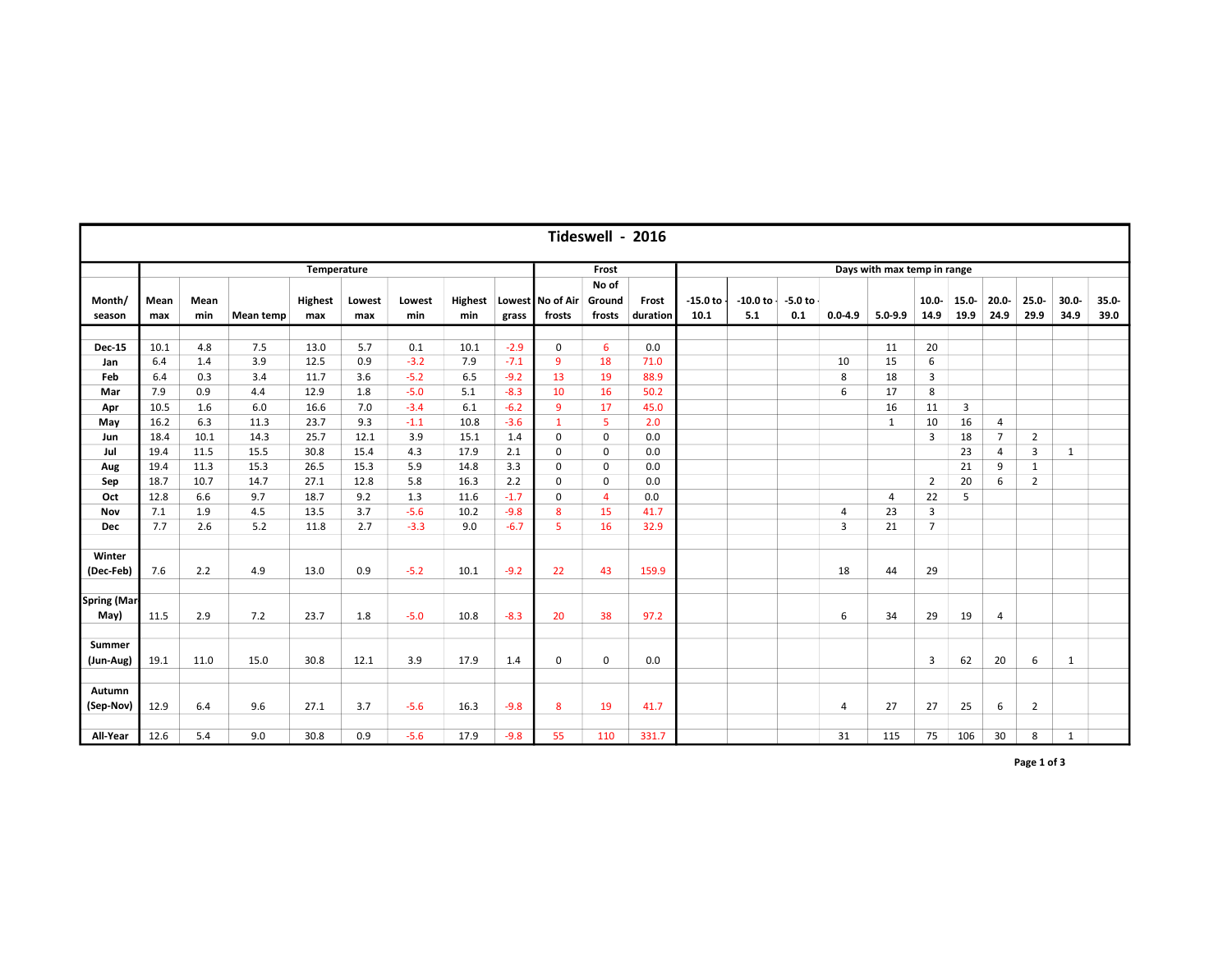|                     | Tideswell - 2016 |      |           |                |        |        |      |        |                          |             |          |                             |                                 |                |             |                |                |                |                |              |          |  |  |
|---------------------|------------------|------|-----------|----------------|--------|--------|------|--------|--------------------------|-------------|----------|-----------------------------|---------------------------------|----------------|-------------|----------------|----------------|----------------|----------------|--------------|----------|--|--|
|                     | Temperature      |      |           |                |        |        |      |        |                          | Frost       |          | Days with max temp in range |                                 |                |             |                |                |                |                |              |          |  |  |
|                     |                  |      |           |                |        |        |      |        |                          | No of       |          |                             |                                 |                |             |                |                |                |                |              |          |  |  |
| Month/              | Mean             | Mean |           | <b>Highest</b> | Lowest | Lowest |      |        | Highest Lowest No of Air | Ground      | Frost    | $-15.0$ to                  | $-10.0$ to $\cdot$<br>$-5.0$ to |                |             | $10.0 -$       | 15.0-          | $20.0 -$       | $25.0 -$       | $30.0 -$     | $35.0 -$ |  |  |
| season              | max              | min  | Mean temp | max            | max    | min    | min  | grass  | frosts                   | frosts      | duration | 10.1                        | 5.1<br>0.1                      | $0.0 - 4.9$    | $5.0 - 9.9$ | 14.9           | 19.9           | 24.9           | 29.9           | 34.9         | 39.0     |  |  |
|                     |                  |      |           |                |        |        |      |        |                          |             |          |                             |                                 |                |             |                |                |                |                |              |          |  |  |
| <b>Dec-15</b>       | 10.1             | 4.8  | 7.5       | 13.0           | 5.7    | 0.1    | 10.1 | $-2.9$ | $\mathbf 0$              | 6           | 0.0      |                             |                                 |                | 11          | 20             |                |                |                |              |          |  |  |
| Jan                 | 6.4              | 1.4  | 3.9       | 12.5           | 0.9    | $-3.2$ | 7.9  | $-7.1$ | $\overline{9}$           | 18          | 71.0     |                             |                                 | 10             | 15          | 6              |                |                |                |              |          |  |  |
| Feb                 | 6.4              | 0.3  | 3.4       | 11.7           | 3.6    | $-5.2$ | 6.5  | $-9.2$ | 13                       | 19          | 88.9     |                             |                                 | 8              | 18          | 3              |                |                |                |              |          |  |  |
| Mar                 | 7.9              | 0.9  | 4.4       | 12.9           | 1.8    | $-5.0$ | 5.1  | $-8.3$ | 10                       | 16          | 50.2     |                             |                                 | 6              | 17          | 8              |                |                |                |              |          |  |  |
| Apr                 | 10.5             | 1.6  | 6.0       | 16.6           | 7.0    | $-3.4$ | 6.1  | $-6.2$ | 9                        | 17          | 45.0     |                             |                                 |                | 16          | 11             | $\overline{3}$ |                |                |              |          |  |  |
| May                 | 16.2             | 6.3  | 11.3      | 23.7           | 9.3    | $-1.1$ | 10.8 | $-3.6$ | $\mathbf{1}$             | 5           | 2.0      |                             |                                 |                | 1           | 10             | 16             | $\overline{4}$ |                |              |          |  |  |
| Jun                 | 18.4             | 10.1 | 14.3      | 25.7           | 12.1   | 3.9    | 15.1 | 1.4    | $\mathbf 0$              | 0           | 0.0      |                             |                                 |                |             | 3              | 18             | $\overline{7}$ | $\overline{2}$ |              |          |  |  |
| Jul                 | 19.4             | 11.5 | 15.5      | 30.8           | 15.4   | 4.3    | 17.9 | 2.1    | $\mathbf 0$              | 0           | 0.0      |                             |                                 |                |             |                | 23             | $\overline{4}$ | 3              | $\mathbf{1}$ |          |  |  |
| Aug                 | 19.4             | 11.3 | 15.3      | 26.5           | 15.3   | 5.9    | 14.8 | 3.3    | $\mathbf 0$              | 0           | 0.0      |                             |                                 |                |             |                | 21             | 9              | $\mathbf{1}$   |              |          |  |  |
| Sep                 | 18.7             | 10.7 | 14.7      | 27.1           | 12.8   | 5.8    | 16.3 | 2.2    | 0                        | 0           | 0.0      |                             |                                 |                |             | $\overline{2}$ | 20             | 6              | $\overline{2}$ |              |          |  |  |
| Oct                 | 12.8             | 6.6  | 9.7       | 18.7           | 9.2    | 1.3    | 11.6 | $-1.7$ | $\mathbf 0$              | 4           | 0.0      |                             |                                 |                | 4           | 22             | 5              |                |                |              |          |  |  |
| Nov                 | 7.1              | 1.9  | 4.5       | 13.5           | 3.7    | $-5.6$ | 10.2 | $-9.8$ | 8                        | 15          | 41.7     |                             |                                 | 4              | 23          | 3              |                |                |                |              |          |  |  |
| Dec                 | 7.7              | 2.6  | 5.2       | 11.8           | 2.7    | $-3.3$ | 9.0  | $-6.7$ | 5                        | 16          | 32.9     |                             |                                 | 3              | 21          | $\overline{7}$ |                |                |                |              |          |  |  |
|                     |                  |      |           |                |        |        |      |        |                          |             |          |                             |                                 |                |             |                |                |                |                |              |          |  |  |
| Winter              |                  |      |           |                |        |        |      |        |                          |             |          |                             |                                 |                |             |                |                |                |                |              |          |  |  |
| (Dec-Feb)           | 7.6              | 2.2  | 4.9       | 13.0           | 0.9    | $-5.2$ | 10.1 | $-9.2$ | 22                       | 43          | 159.9    |                             |                                 | 18             | 44          | 29             |                |                |                |              |          |  |  |
|                     |                  |      |           |                |        |        |      |        |                          |             |          |                             |                                 |                |             |                |                |                |                |              |          |  |  |
| <b>Spring (Mar-</b> |                  |      |           |                |        |        |      |        |                          |             |          |                             |                                 |                |             |                |                |                |                |              |          |  |  |
| May)                | 11.5             | 2.9  | 7.2       | 23.7           | 1.8    | $-5.0$ | 10.8 | $-8.3$ | 20                       | 38          | 97.2     |                             |                                 | 6              | 34          | 29             | 19             | 4              |                |              |          |  |  |
|                     |                  |      |           |                |        |        |      |        |                          |             |          |                             |                                 |                |             |                |                |                |                |              |          |  |  |
| Summer              |                  |      |           |                |        |        |      |        |                          |             |          |                             |                                 |                |             |                |                |                |                |              |          |  |  |
| (Jun-Aug)           | 19.1             | 11.0 | 15.0      | 30.8           | 12.1   | 3.9    | 17.9 | 1.4    | $\mathbf{0}$             | $\mathbf 0$ | 0.0      |                             |                                 |                |             | 3              | 62             | 20             | 6              | 1            |          |  |  |
|                     |                  |      |           |                |        |        |      |        |                          |             |          |                             |                                 |                |             |                |                |                |                |              |          |  |  |
| Autumn              |                  |      |           |                |        |        |      |        |                          |             |          |                             |                                 |                |             |                |                |                |                |              |          |  |  |
| (Sep-Nov)           | 12.9             | 6.4  | 9.6       | 27.1           | 3.7    | $-5.6$ | 16.3 | $-9.8$ | 8                        | 19          | 41.7     |                             |                                 | $\overline{4}$ | 27          | 27             | 25             | 6              | $\overline{2}$ |              |          |  |  |
|                     |                  |      |           |                |        |        |      |        |                          |             |          |                             |                                 |                |             |                |                |                |                |              |          |  |  |
| All-Year            | 12.6             | 5.4  | 9.0       | 30.8           | 0.9    | $-5.6$ | 17.9 | $-9.8$ | 55                       | 110         | 331.7    |                             |                                 | 31             | 115         | 75             | 106            | 30             | 8              | $\mathbf{1}$ |          |  |  |

Page 1 of 3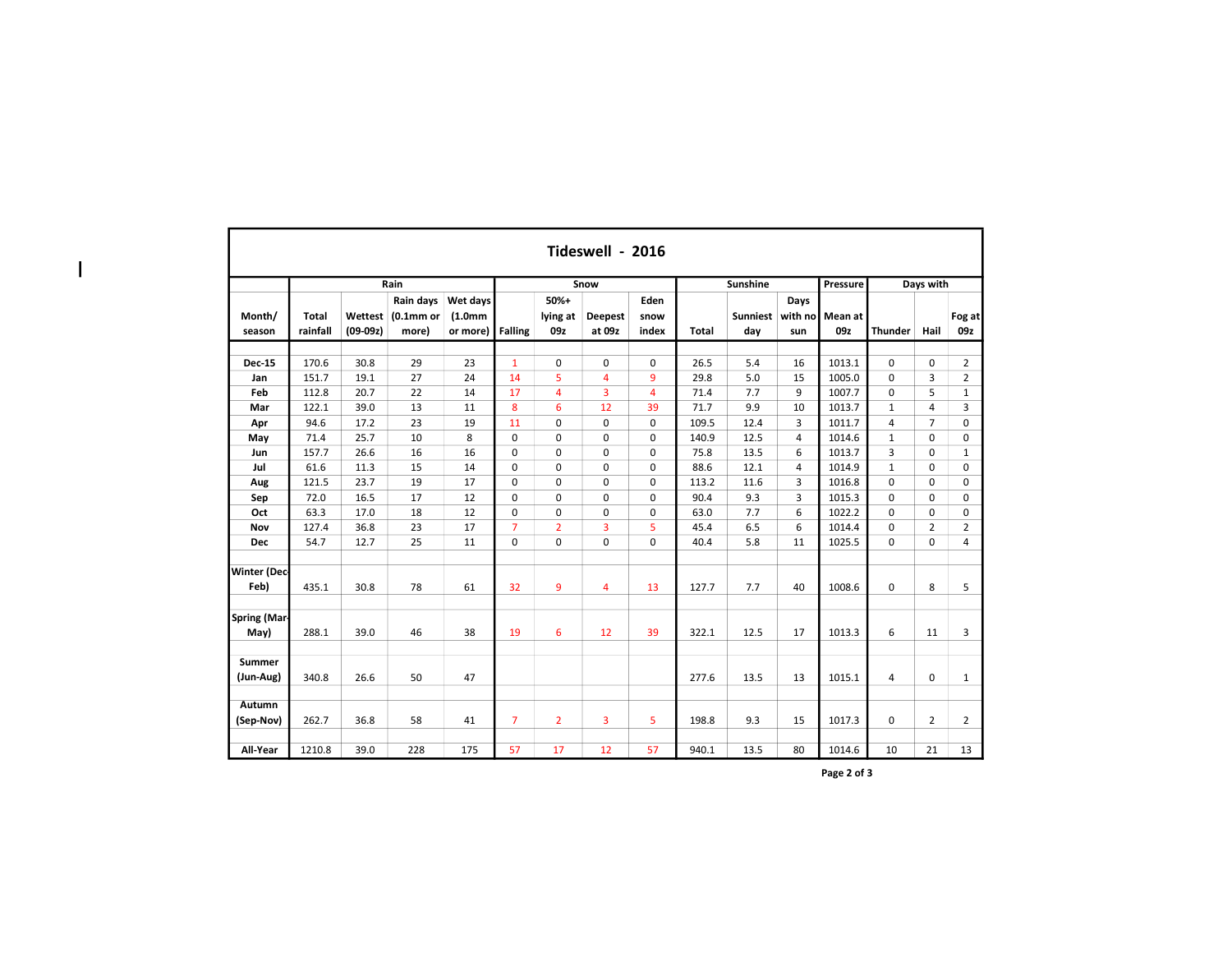|                             | Tideswell - 2016         |                       |                                            |                                              |                |                         |                          |                       |       |                        |                        |                |                |                |                |  |  |
|-----------------------------|--------------------------|-----------------------|--------------------------------------------|----------------------------------------------|----------------|-------------------------|--------------------------|-----------------------|-------|------------------------|------------------------|----------------|----------------|----------------|----------------|--|--|
|                             |                          |                       | Rain                                       |                                              |                |                         | Snow                     |                       |       | Sunshine               |                        | Pressure       | Days with      |                |                |  |  |
| Month/<br>season            | <b>Total</b><br>rainfall | Wettest<br>$(09-09z)$ | Rain days<br>(0.1 <sub>mm</sub> )<br>more) | Wet days<br>(1.0 <sub>mm</sub> )<br>or more) | <b>Falling</b> | 50%+<br>lying at<br>09z | <b>Deepest</b><br>at 09z | Eden<br>snow<br>index | Total | <b>Sunniest</b><br>dav | Days<br>with no<br>sun | Mean at<br>09z | <b>Thunder</b> | Hail           | Fog at<br>09z  |  |  |
| <b>Dec-15</b>               | 170.6                    | 30.8                  | 29                                         | 23                                           | $\mathbf{1}$   | $\Omega$                | $\Omega$                 | 0                     | 26.5  | 5.4                    | 16                     | 1013.1         | $\Omega$       | $\Omega$       | $\overline{2}$ |  |  |
| Jan                         | 151.7                    | 19.1                  | 27                                         | 24                                           | 14             | 5                       | 4                        | 9                     | 29.8  | 5.0                    | 15                     | 1005.0         | $\mathbf 0$    | 3              | $\overline{2}$ |  |  |
| Feb                         | 112.8                    | 20.7                  | 22                                         | 14                                           | 17             | $\overline{4}$          | 3                        | 4                     | 71.4  | 7.7                    | 9                      | 1007.7         | $\mathbf 0$    | 5              | $\mathbf{1}$   |  |  |
| Mar                         | 122.1                    | 39.0                  | 13                                         | 11                                           | 8              | 6                       | 12                       | 39                    | 71.7  | 9.9                    | 10                     | 1013.7         | $\mathbf{1}$   | 4              | 3              |  |  |
| Apr                         | 94.6                     | 17.2                  | 23                                         | 19                                           | 11             | $\mathbf 0$             | $\mathbf 0$              | $\pmb{0}$             | 109.5 | 12.4                   | 3                      | 1011.7         | $\overline{4}$ | $\overline{7}$ | $\mathbf 0$    |  |  |
| May                         | 71.4                     | 25.7                  | 10                                         | 8                                            | $\Omega$       | $\Omega$                | $\Omega$                 | 0                     | 140.9 | 12.5                   | 4                      | 1014.6         | $\mathbf{1}$   | $\Omega$       | 0              |  |  |
| Jun                         | 157.7                    | 26.6                  | 16                                         | 16                                           | $\mathbf 0$    | $\mathbf 0$             | $\mathbf 0$              | 0                     | 75.8  | 13.5                   | 6                      | 1013.7         | 3              | $\mathbf 0$    | $\mathbf 1$    |  |  |
| Jul                         | 61.6                     | 11.3                  | 15                                         | 14                                           | $\mathbf 0$    | $\mathbf 0$             | $\mathbf 0$              | 0                     | 88.6  | 12.1                   | $\overline{4}$         | 1014.9         | $\mathbf 1$    | $\Omega$       | 0              |  |  |
| Aug                         | 121.5                    | 23.7                  | 19                                         | 17                                           | $\mathbf 0$    | $\mathbf 0$             | $\mathbf 0$              | 0                     | 113.2 | 11.6                   | 3                      | 1016.8         | $\mathbf 0$    | $\Omega$       | 0              |  |  |
| Sep                         | 72.0                     | 16.5                  | 17                                         | 12                                           | $\mathbf 0$    | $\mathbf 0$             | $\mathbf 0$              | $\mathbf 0$           | 90.4  | 9.3                    | 3                      | 1015.3         | $\mathbf 0$    | $\Omega$       | 0              |  |  |
| Oct                         | 63.3                     | 17.0                  | 18                                         | 12                                           | $\mathbf 0$    | 0                       | $\Omega$                 | 0                     | 63.0  | 7.7                    | 6                      | 1022.2         | $\mathbf 0$    | $\Omega$       | 0              |  |  |
| Nov                         | 127.4                    | 36.8                  | 23                                         | 17                                           | $\overline{7}$ | $\overline{2}$          | 3                        | 5                     | 45.4  | 6.5                    | 6                      | 1014.4         | $\mathbf 0$    | $\overline{2}$ | $\overline{2}$ |  |  |
| <b>Dec</b>                  | 54.7                     | 12.7                  | 25                                         | 11                                           | $\mathbf 0$    | $\mathbf 0$             | $\mathbf 0$              | $\mathbf 0$           | 40.4  | 5.8                    | 11                     | 1025.5         | $\mathbf 0$    | 0              | 4              |  |  |
| <b>Winter (Dec-</b><br>Feb) | 435.1                    | 30.8                  | 78                                         | 61                                           | 32             | 9                       | 4                        | 13                    | 127.7 | 7.7                    | 40                     | 1008.6         | $\mathbf 0$    | 8              | 5              |  |  |
| Spring (Mar-<br>May)        | 288.1                    | 39.0                  | 46                                         | 38                                           | 19             | 6                       | 12                       | 39                    | 322.1 | 12.5                   | 17                     | 1013.3         | 6              | 11             | 3              |  |  |
| <b>Summer</b><br>(Jun-Aug)  | 340.8                    | 26.6                  | 50                                         | 47                                           |                |                         |                          |                       | 277.6 | 13.5                   | 13                     | 1015.1         | 4              | $\mathbf 0$    | $\mathbf{1}$   |  |  |
| <b>Autumn</b><br>(Sep-Nov)  | 262.7                    | 36.8                  | 58                                         | 41                                           | $\overline{7}$ | $\overline{2}$          | 3                        | 5                     | 198.8 | 9.3                    | 15                     | 1017.3         | $\mathbf 0$    | $\overline{2}$ | $\overline{2}$ |  |  |
| All-Year                    | 1210.8                   | 39.0                  | 228                                        | 175                                          | 57             | 17                      | 12                       | 57                    | 940.1 | 13.5                   | 80                     | 1014.6         | 10             | 21             | 13             |  |  |

 $\overline{1}$ 

Page 2 of 3